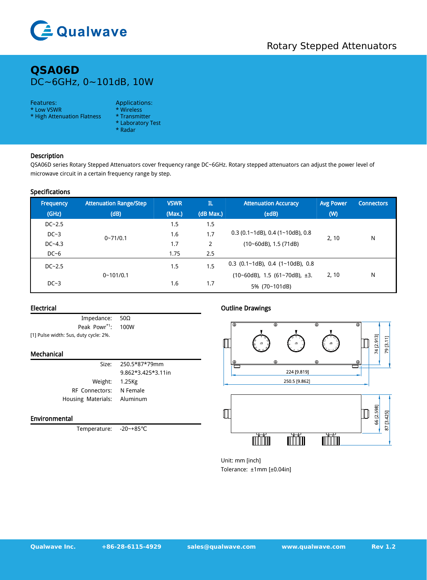

# **QSA06D** DC~6GHz, 0~101dB, 10W

### Features: Applications:

- \* Low VSWR \* Wireless<br>\* High Attenuation Flatness \* Transmitter
- \* High Attenuation Flatness
- 
- 
- \* Laboratory Test \* Radar
- Description

QSA06D series Rotary Stepped Attenuators cover frequency range DC~6GHz. Rotary stepped attenuators can adjust the power level of microwave circuit in a certain frequency range by step.

### Specifications

| Frequency | <b>Attenuation Range/Step</b> | <b>VSWR</b> | IL.                   | <b>Attenuation Accuracy</b>         | <b>Avg Power</b> | <b>Connectors</b> |
|-----------|-------------------------------|-------------|-----------------------|-------------------------------------|------------------|-------------------|
| (GHz)     | (dB)                          | (Max.)      | (dB Max.)             | $(\pm dB)$                          | (W)              |                   |
| $DC-2.5$  |                               | 1.5         | 1.5                   |                                     |                  |                   |
| $DC-3$    | $0 - 71/0.1$                  | 1.6         | 1.7                   | $0.3$ (0.1~1dB), 0.4 (1~10dB), 0.8  | 2, 10            | N                 |
| $DC-4.3$  |                               | 1.7         | $\mathbf{2}^{\prime}$ | $(10-60dB)$ , 1.5 (71dB)            |                  |                   |
| $DC-6$    |                               | 1.75        | 2.5                   |                                     |                  |                   |
| $DC-2.5$  |                               | 1.5         | 1.5                   | $0.3$ (0.1~1dB), 0.4 (1~10dB), 0.8  |                  |                   |
|           | $0 - 101/0.1$                 |             |                       | $(10-60dB)$ , 1.5 $(61-70dB)$ , ±3. | 2, 10            | N                 |
| $DC-3$    |                               | 1.6         | 1.7                   | 5% (70~101dB)                       |                  |                   |

### Electrical

Impedance: 50Ω Peak Powr\*1: \*1 : 100W [1] Pulse width: 5us, duty cycle: 2%.

#### Mechanical

| Size:                       | 250.5*87*79mm      | ⊕ |
|-----------------------------|--------------------|---|
|                             | 9.862*3.425*3.11in |   |
| Weight: 1.25Kg              |                    |   |
| RF Connectors: N Female     |                    |   |
| Housing Materials: Aluminum |                    |   |

## Environmental

Temperature: -20~+85℃

# Outline Drawings



Unit: mm [inch] Tolerance: ±1mm [±0.04in]